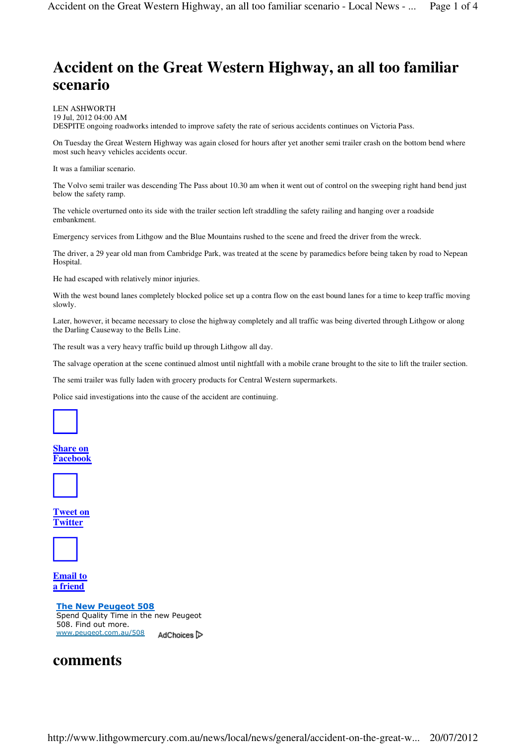# **Accident on the Great Western Highway, an all too familiar scenario**

LEN ASHWORTH 19 Jul, 2012 04:00 AM DESPITE ongoing roadworks intended to improve safety the rate of serious accidents continues on Victoria Pass.

On Tuesday the Great Western Highway was again closed for hours after yet another semi trailer crash on the bottom bend where most such heavy vehicles accidents occur.

It was a familiar scenario.

The Volvo semi trailer was descending The Pass about 10.30 am when it went out of control on the sweeping right hand bend just below the safety ramp.

The vehicle overturned onto its side with the trailer section left straddling the safety railing and hanging over a roadside embankment.

Emergency services from Lithgow and the Blue Mountains rushed to the scene and freed the driver from the wreck.

The driver, a 29 year old man from Cambridge Park, was treated at the scene by paramedics before being taken by road to Nepean Hospital.

He had escaped with relatively minor injuries.

With the west bound lanes completely blocked police set up a contra flow on the east bound lanes for a time to keep traffic moving slowly.

Later, however, it became necessary to close the highway completely and all traffic was being diverted through Lithgow or along the Darling Causeway to the Bells Line.

The result was a very heavy traffic build up through Lithgow all day.

The salvage operation at the scene continued almost until nightfall with a mobile crane brought to the site to lift the trailer section.

The semi trailer was fully laden with grocery products for Central Western supermarkets.

Police said investigations into the cause of the accident are continuing.



#### **Share on Facebook**



**Tweet on Twitter**



**Email to a friend**

The New Peugeot 508 Spend Quality Time in the new Peugeot 508. Find out more. www.peugeot.com.au/508 AdChoices<sup>1</sup>

# **comments**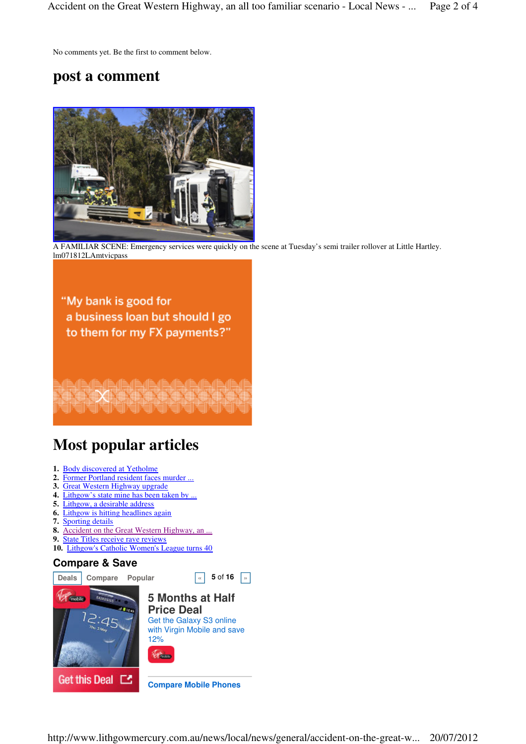No comments yet. Be the first to comment below.

# **post a comment**



A FAMILIAR SCENE: Emergency services were quickly on the scene at Tuesday's semi trailer rollover at Little Hartley. lm071812LAmtvicpass

"My bank is good for a business loan but should I go to them for my FX payments?"

# **Most popular articles**

- **1.** Body discovered at Yetholme
- **2.** Former Portland resident faces murder ...
- **3.** Great Western Highway upgrade
- **4.** Lithgow's state mine has been taken by ...
- **5.** Lithgow, a desirable address
- **6.** Lithgow is hitting headlines again
- **7.** Sporting details
- **8.** Accident on the Great Western Highway, an ...
- **9.** State Titles receive rave reviews
- **10.** Lithgow's Catholic Women's League turns 40

## **Compare & Save**

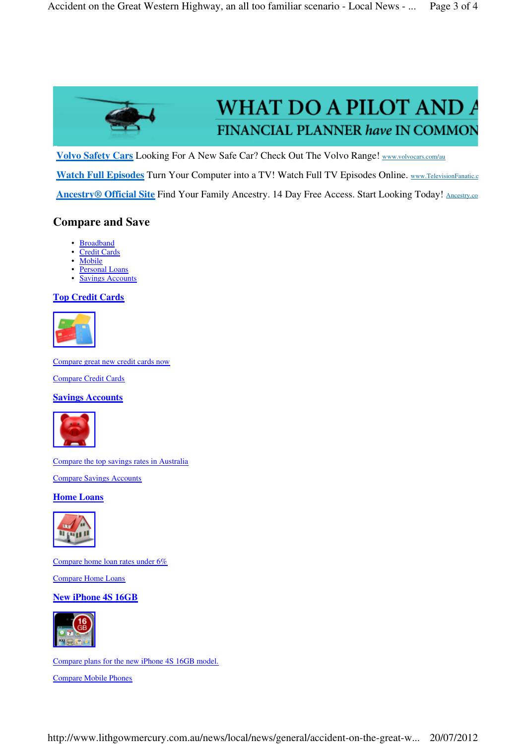

# **WHAT DO A PILOT AND A** FINANCIAL PLANNER have IN COMMON

**Volvo Safety Cars** Looking For A New Safe Car? Check Out The Volvo Range! www.volvocars.com/au

Watch Full Episodes Turn Your Computer into a TV! Watch Full TV Episodes Online. www.TelevisionFanatic.c

**Ancestry® Official Site** Find Your Family Ancestry. 14 Day Free Access. Start Looking Today! Ancestry.com

## **Compare and Save**

- **Broadband**
- Credit Cards
- Mobile
- **Personal Loans** • Savings Accounts

# **Top Credit Cards**



Compare great new credit cards now

Compare Credit Cards

## **Savings Accounts**



Compare the top savings rates in Australia

Compare Savings Accounts

#### **Home Loans**



Compare home loan rates under 6%

Compare Home Loans

## **New iPhone 4S 16GB**



Compare plans for the new iPhone 4S 16GB model.

Compare Mobile Phones